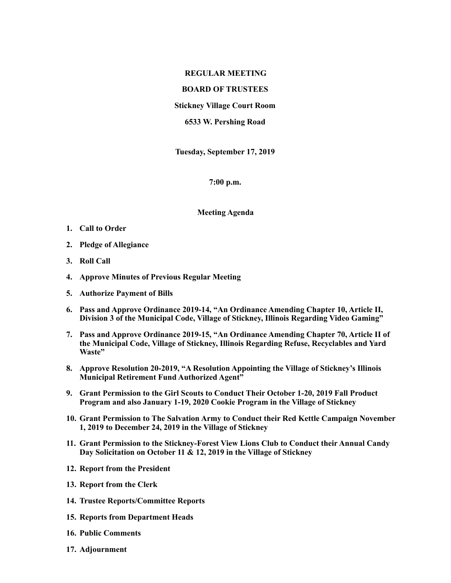## **REGULAR MEETING**

## **BOARD OF TRUSTEES**

**Stickney Village Court Room** 

**6533 W. Pershing Road** 

**Tuesday, September 17, 2019** 

**7:00 p.m.** 

## **Meeting Agenda**

- **1. Call to Order**
- **2. Pledge of Allegiance**
- **3. Roll Call**
- **4. Approve Minutes of Previous Regular Meeting**
- **5. Authorize Payment of Bills**
- **6. Pass and Approve Ordinance 2019-14, "An Ordinance Amending Chapter 10, Article II, Division 3 of the Municipal Code, Village of Stickney, Illinois Regarding Video Gaming"**
- **7. Pass and Approve Ordinance 2019-15, "An Ordinance Amending Chapter 70, Article II of the Municipal Code, Village of Stickney, Illinois Regarding Refuse, Recyclables and Yard Waste"**
- **8. Approve Resolution 20-2019, "A Resolution Appointing the Village of Stickney's Illinois Municipal Retirement Fund Authorized Agent"**
- **9. Grant Permission to the Girl Scouts to Conduct Their October 1-20, 2019 Fall Product Program and also January 1-19, 2020 Cookie Program in the Village of Stickney**
- **10. Grant Permission to The Salvation Army to Conduct their Red Kettle Campaign November 1, 2019 to December 24, 2019 in the Village of Stickney**
- **11. Grant Permission to the Stickney-Forest View Lions Club to Conduct their Annual Candy Day Solicitation on October 11 & 12, 2019 in the Village of Stickney**
- **12. Report from the President**
- **13. Report from the Clerk**
- **14. Trustee Reports/Committee Reports**
- **15. Reports from Department Heads**
- **16. Public Comments**
- **17. Adjournment**